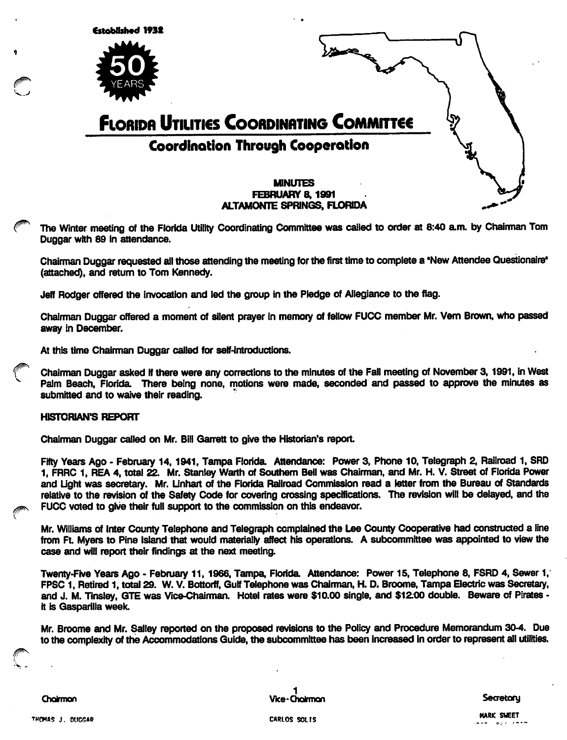

The Winter meeting of the Florida Utility Coordinating Committee was called to order at 8:40 a.m. by Chairman Tom Duggar with 89 in attendance.

Chairman Duggar requested ail those attending the meeting for the first time to complete a 'New Attendee Questionaire\* (attached), and return to Tom Kennedy.

Jeff Rodger offered the invocation and led the group in the Pledge of Allegiance to the flag.

Chairman Duggar offered a moment of silent prayer in memory of fellow FUCC member Mr. Vern Brown, who passed away in December.

At this time Chairman Duggar called for self-introductions.

Chairman Duggar asked if there were any corrections to the minutes of the Fall meeting of November 3, 1991, in West Palm Beach, Florida. There being none, motions were made, seconded and passed to approve the minutes as submitted and to waive their reading.

#### **HISTORIAN'S REPORT**

Chairman Duggar called on Mr. Bill Garrett to give the Historian's report

Fifty Years Ago - February 14, 1941, Tampa Florida. Attendance: Power 3, Phone 10, Telegraph 2, Railroad 1, SRD 1, FRRC 1, REA 4, total 22. Mr. Stanley Warth of Southem Bell was Chairman, and Mr. H. V. Street of Florida Power and Ught was secretary. Mr. Unhart of the Florida Railroad Commission read a letter from the Bureau of Standards relative to the revision of the Safety Code for covering crossing specifications. The revision will be delayed, and the and Light was secretary. Mr. Linnart of the Florida Haliroad Commission relative to the revision of the Safety Code for covering crossing specification on this endeavor.<br>FUCC voted to give their full support to the commiss

Mr. Williams of Irrter County Telepfione and Telegraph complained the Lee Courrty Cooperative frad constructed a line from Ft. Myers to Pine Island that would materially affect his operations. A subcommittee was appointed to view the case and will report their findings at the next meeting.

Twenty-Five Years Ago - February 11, 1966, Tampa, Florida. Attendance: Power 15, Telephone 8, FSRD 4, Sewer 1, FPSC 1, Retired 1, total 29. W. V. Bottorff, Gulf Telephone was Chainnan, H. D, Broonre, Tampa Electric was Secretary, and J. M. Tinsley, GTE was Vice-Chairman. Hotel rates were \$10.00 single, and \$12.80 double. Beware of Pirates it is Gasparilla week.

Mr. Broome and Mr. Salley reported on the proposed revisions to the Policy and Procedure Memorandum 30-4. Due to the complexity of the Accommodations Guide, the subcommittee has been increased in order to represent all utilities.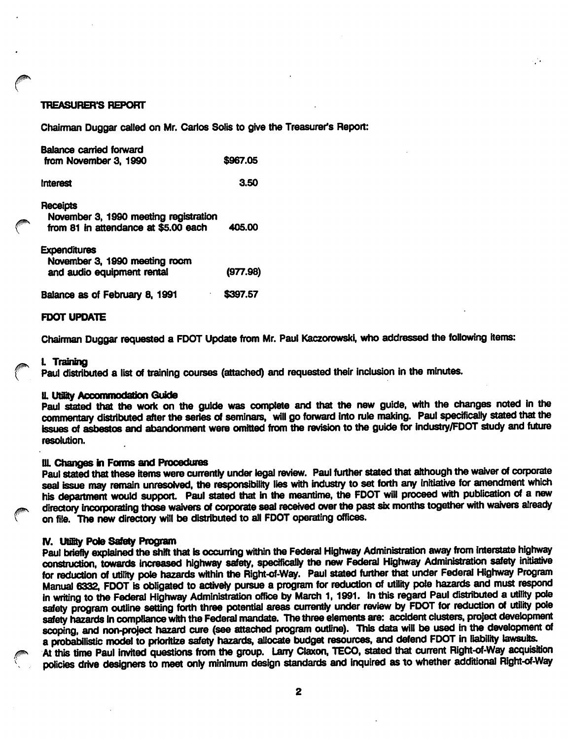## TREASURER'S REPORT

Chairman Duggar called on Mr. Carlos Sdis to give the Treasurer's Report:

| Balance carried forward<br>from November 3, 1990                                          | \$967.05 |
|-------------------------------------------------------------------------------------------|----------|
| <b>Interest</b>                                                                           | 3.50     |
| Receipts<br>November 3, 1990 meeting registration<br>from 81 in attendance at \$5.00 each | 405.00   |
| <b>Expenditures</b><br>November 3, 1990 meeting room<br>and audio equipment rental        | (977.98) |
| Balance as of February 8, 1991                                                            | \$397.57 |

### FDOT UPDATE

Chairman Duggar requested a FDOT Update from Mr. Paul Kaczorowski, who addressed the following items:

#### ^ L Traning

Paul distributed a list of training courses (attached) and requested their inclusion in the minutes.

#### U. Utahy Aooommodalion Guide

Paul stated that the work on the guide was complete and that the new guide, with the changes noted in the commentary distributed after the series of seminars, will go forward into rule making. Paul spedficaliy stated that the issues of asbestos and abandonment were omitted from the revision to the guide for industry/FDOT study and future resolution.

# III. Changes in Forms and Procedures

Paul stated that these items were currently under legal review. Paul further stated that although the waiver of corporate seal issue may remain unresolved, the responsibility lies with industry to set forth any initiative for amendment which his department would support. Paul stated that in the meantime, the FDOT will proceed with publication of a new directory incorporating those waivers of corporate seal received over the past six months together with waivers already on file. The new directory will be distributed to all FDOT operating offices.

#### IV. Utifity Pole Safety Program

Paul briefly explained the shift that is occurring within the Federal Highway Administration away from interstate highway construction, towards increased highway safety, specifically the new Federal Highway Administration safety initiative for reduction of utility pole hazards within the Right-of-Way. Paul stated further that under Federal Highway Program Manual 6332, FDOT is obligated to activeiy pursue a program for reduction of utility pole fiazards and must respond in writing to the Federal Highway Administration office by March 1, 1991. In this regard Paul distributed a utility pole safety program outline setting forth three potential areas currently under review by FDOT for reduction of utility pole safety hazards in compliance with the Federal mandate. The three elements are: accident clusters, project development scoping, and non-project hazard cure (see attached program outline). This data will be used in the development of a probabilistic model to prioritize safety hazards, allocate budget resources, and defend FDOT in liability lawsuits.

At this time Paul invited questions from the group. Larry Claxon, TECO, stated that current Right-of-Way acquisition policies drive designers to meet only minimum design standards and inquired as to whether additional Right-of-Way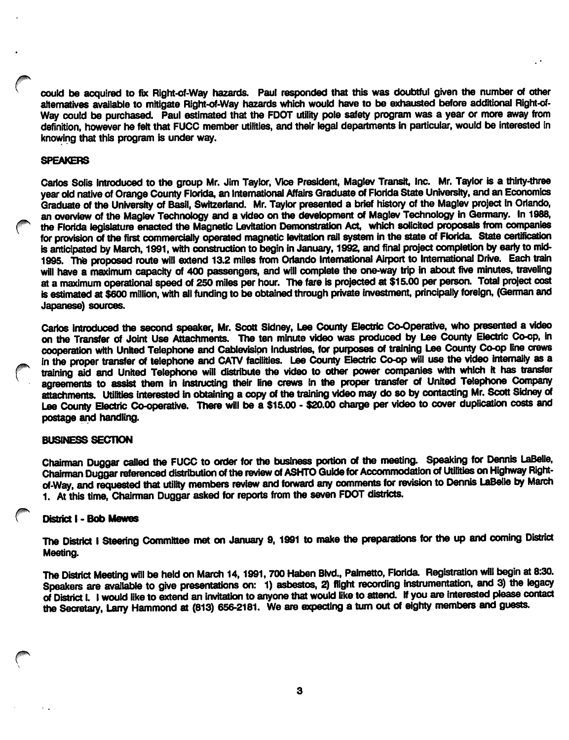could be acquired to fix Right-of-Way hazards. Paul responded that this was doubtful given the number of other altematives available to mitigate Right-of-Way hazards which would have to be exhausted before additional Right-of-Way could be purchased. Paul estimated that the FOOT utility pole safety program was a year or more away from definition, however he felt that FUCC member utilities, and their legal departments in particular, would be interested in knowing that this program is under way.

## SPEAKERS

Carlos Solis introduced to the group Mr. Jim Taylor, Vice President, Maglev Transit, Inc. Mr. Taylor is a thirty-three year old native of Orange County Florida, an International Affairs Graduate of Florida State University, and an Economics Graduate of the University of Basil, Switzerland. Mr. Taylor presented a brief history of the Maglev project in Oriando, an overview of the Maglev Technology and a video on the development of Maglev Technology in Germany. In 1988, the Florida legislature enacted the Magnetic Levitation Demonstration Act, which solicited proposals from cornpanies for provision of the first commercially operated magnetic levitation rail system in the state of Florida. State certification is anticipated by March, 1991, with construction to begin in January, 1992, and final project completion by early to mid-1995. The proposed route will extend 13.2 miles from Orlando International Airport to International Drive. Each train will have a maximum capacity of 400 passengers, and will complete the one-way trip in about five minutes, traveling at a maximum operational speed of 250 miles per hour. The fare is projected at \$15.00 per person. Total project cost is estimated at \$600 million, with all funding to be obtained through private investment, principally foreign, (German and Japanese) sources.

Carlos introduced the second speaker, Mr. Scott Sidney, Lee County Electric Co-Operative, who presented a video on the Transfer of Joint Use Attachments. The ten minute video was produced by Lee County Electric Co-op, in cooperation with United Telephone and Cablevision Industries, for purposes of training Lee County Co-op line crews in the proper transfer of telephone and CATV facilities. Lee County Electric Co-op will use the video internally as a training aid and United Telephone will distribute the video to other power companies with which it has transfer agreements to assist them in instructing their line crews in the proper transfer of United Telephone Company attachments. Utilities irtterested in obtaining a copy of the training video may do so by contacting Mr. Scott Sidney of Lee County Electric Co-operative. There will be a \$15.00 - \$20.00 charge per video to cover duplication costs and postage and handling.

## BUSINESS SECTION

Chairman Duggar called the FUCC to order for the business portion of the meeting. Speaking for Dennis LaBelle, Chairman Duggar referenced distribution of the review of ASHTO Guide for Accommodation of Utilities on Highway Rightof-Way, and requested that utility members review and forward any comments for revision to Dennis LaBelle by March 1. At this time. Chairman Duggar asked for reports from the seven FDOT districts.

## District I - Bob Mewes

The District I Steering Committee met on January 9, 1991 to make the preparations for the up and coming District Meeting.

The District Meeting will be held on March 14, 1991, 700 Haben Blvd., Palmetto, Florida. Registration will begin at 8:30. Speakers are available to give presentations on: 1) asbestos, 2) flight recording instrumentation, and 3) the legacy of District I. I would like to extend an invitation to anyone that would like to attend, if you are interested please contact the Secretary. Larry Hammond at (813) 65&-2181. We are expecting a turn out of eighty members and guests.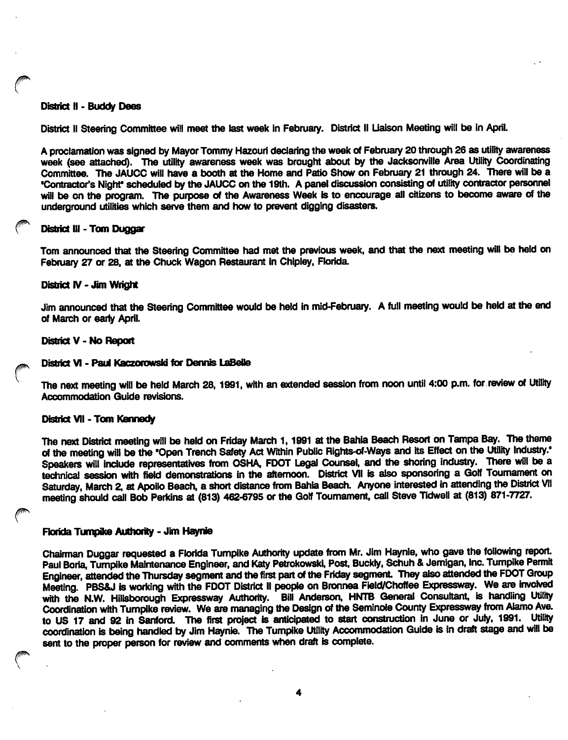#### District 11 - Buddy Dees

District II Steering Committee will meet the last week in February. District II Liaison Meeting will be in April.

A proclamation was signed by Mayor Tommy Hazouri declaring the week of February 20 through 26 as utility awareness week (see attached). The utility awareness week was brought about by the Jacksonville Area Utility Coordinating Committee. The JAUCC will have a booth at the Home and Patio Show on February 21 through 24. There will be a "Contractor's Night\* scheduled by the JAUCC on the 19th. A panel discussion consisting of utility contractor personnel will be on the program. The purpose of the Awareness Week is to encourage all citizens to become aware of the underground utilities which serve them and how to prevent digging disasters.

#### District III - Tom Duggar

Tom announced that the Steering Committee had met the previous week, and that the next meeting will be held on February 27 or 28, at the Chuck Wagon Restaurant in Chipley, Florida.

#### District IV - Jim Wright

Jim announced that the Steering Committee would be held in mid-February. A full meeting would be held at the end of March or early April.

#### District V - No Report

#### District VI - Paul Kaczorowski for Dennis LaBeUe

The next meeting will be held March 28,1991, with an extended session from noon until 4:00 p.m. for review of Utility Accommodation Guide revisions.

#### District VII • Tom Kennedy

The next District meeting will be held on Friday March 1, 1991 at the Bahia Beach Resort on Tampa Bay. The theme of the meeting will be the "Open Trench Safety Act Within Public Rights-of-Ways and its Effect on the Utility Industry.' Speakers will Include representatives from OSHA, FDOT Legal Counsel, and the shoring industry. There will be a technical session with field demonstrations in the afternoon. District VII is also sponsoring a Golf Tournament on Saturday, March 2, at Apollo Beach, a short distance from Bahia Beach. Anyone interested in attending the District VII meeting should call Bob Perkins at (813) 462-6795 or the Golf Tournament, call Steve Tidwell at (813) 871-7727.

#### Florida Turnpike Authority - Jim Haynie

Chairman Duggar requested a Florida Turnpike Authority update from Mr. Jim Haynie, who gave the following report. Paul Boria, Tumpike Maintenance Engineer, and Katy PetrokowskI, Post, Buckiy, Schuh & Jemlgan, Inc. Turnpike Permit Engineer, attended the Thursday segment and the first part of the Friday segment. They also attended the FDOT Group Meeting. PBS&J is working with the FDOT District II people on Bronnea Field/Choffee Expressway. We are hwolved with the N.W. Hillsborough Expressway Authority. Bill Anderson, HNTB General Consultant, is handling Utility Coordination with Tumpike review. We are managing the Design of the Seminole County Expressway from Alamo Ave. to US 17 and 92 in Sanford. The first project is anticipated to start construction in June or July, 1991. Utility coordination is being handled by Jim Haynie. The Tumpike Utility Accommodation Guide is in draft stage and will be sent to the proper person for review and comments when draft is complete.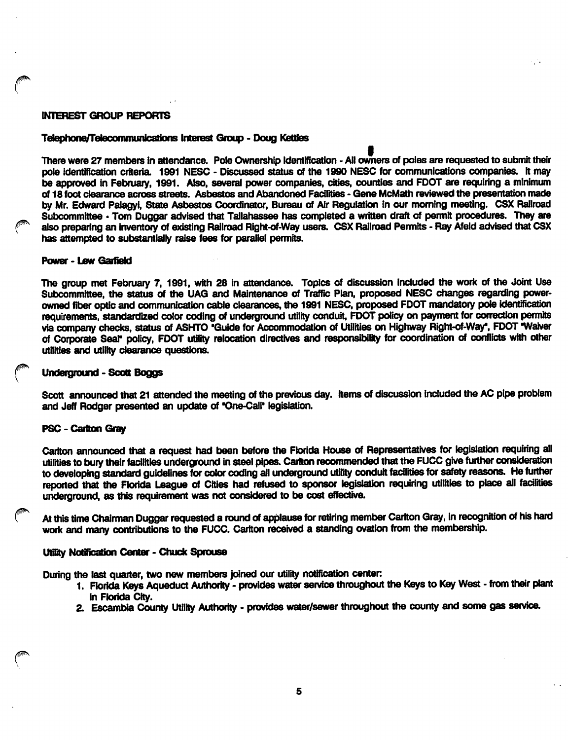## INTEREST GROUP REPORTS

#### Telephone/Teleconmtunicalions Interest Group - Doug Kettles

There were 27 members in attendance. Pole Ownership Identification • All owners of poles are requested to submit their pole identification criteria. 1991 NESC - Discussed status of the 1990 NESC for communications companies. It may be approved In February, 1991. Also, several power companies, cities, counties and FOOT are requiring a minimum of 18 foot clearance across streets. Asbestos and Abandoned Facilities - Gene McMath reviewed the presentation made ty Mr. Edward Palagyi, State Asbestos Coordinator, Bureau of Air Regulation in our morning meeting. CSX Railroad Subcommittee - Tom Duggar advised that Tallahassee has completed a written draft of permit procedures. They are also preparing an inventory of existing Railroad Right-of-Way users. CSX Railroad Permits - Ray Afeld advised that CSX has attempted to substantially raise fees for parallel permits.

## Power - Lew Garfield

The group met February 7, 1991, with 28 in attendance. Topics of discussion included the work cri the Joint Use Subcommittee, the status of the UAG and Maintenance of Traffic Plan, proposed NESC changes regarding powerowned fiber optic and communication cable clearances, the 1991 NESC, proposed FDOT mandatory pole identification requirements, standardized color coding of underground utility conduit, FOOT policy on payment for correction permits via company checks, status of ASHTO "Guide for Accommodation of Utilities on Highway Right-of-Way", FDOT "Waiver of Corporate Seal<sup>t</sup> policy, FDOT utility relocation directives and responsibility for coordination of conflicts with other utilities and utility clearance questions.

## Underground - Scott Boggs

Scott announced that 21 attended the meeting of the previous day. Items of discussion included the AC pipe problem and Jeff Rodger presented an update of \*One-Call' legislation.

## PSC - Carlton Gray

Cariton announced that a request had been before the Florida House of Representatives for legislation requiring all utilities to bury their facilities underground in steel pipes. Cariton recommended that the FUCC give further consideration to developing standard guidelines for color coding all underground utility conduit facilities for safety reasons. He further reported that the Florida League of Cities had refused to sponsor legislation requiring utilities to place all facilities underground, as this requirement was not considered to be cost effective.

At this time Chairman Duggar requested a round of applause for retiring member Cariton Gray, in recognition of his hard work and many contributions to the FUCC. Carlton received a standing ovation from the membership.

#### Utility Notification Center - Chuck Sprouse

During the last quarter, two new members joined our utility notification center:

- 1. Florida Keys Aqueduct Authority provides water service throughout the Keys to Key West from their plant in Florida City.
- 2. Escambia County Utility Authority provides water/sewer throughout the county and some gas service.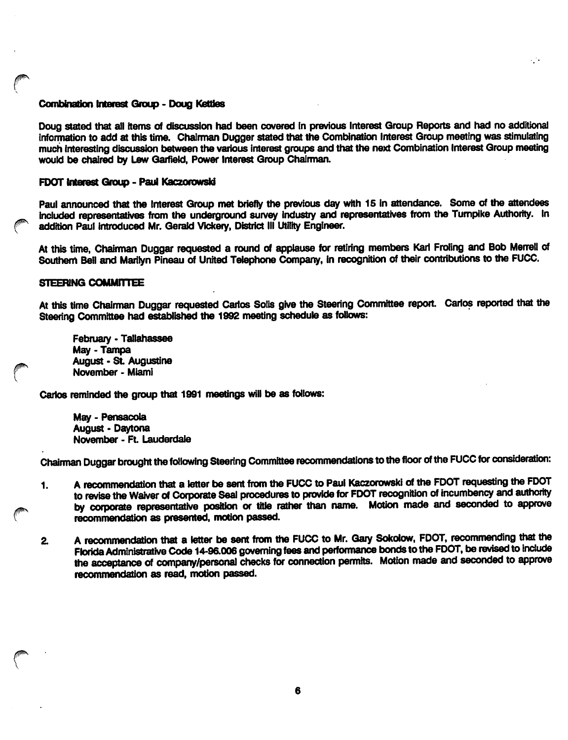#### Combinalion Intarest Group - Doug KetUes

Doug stated that all items of discussion had been covered in previous Interest Group Reports and had no additional information to add at this time. Chairman Dugger stated that the Combination Interest Group meeting was stimulating much interesting discussion between the various interest groups and that the next Combination Interest Group meeting would be chaired by Lew Garfield, Power Interest Group Chairman.

#### FOOT Interest Group - Paul Kaczorawsid

Paul announced that the Interest Group met briefly the previous day with 15 in attendance. Some of the attendees included representatives from the underground survey industry and representatives from the Turnpike Authority. In addition Paul introduced Mr. Gerald Vickery, District III Utility Engineer.

At this time, Chairman Duggar requested a round of applause for retiring members Karl Froling and Bob Merrell of Southern Bell and Marilyn Pineau of United Telephone Company, in recognition of their contributions to the FUCC.

## STEERING COMMITTEE

At this time Chairman Duggar requested Carlos Solis give the Steering Committee report. Carlos reported that the Steering Committee had established the 1992 meeting schedule as follows:

February - Tallahassee May - Tampa August - St. Augustine November - Miami

Carlos reminded the group that 1991 meetings will be as fOiiows:

May - Pensacola August • Daytona November - Ft Lauderdaie

Chairman Duggar brought the following Steering Committee recommendations to the floor of the FUCC for consideration:

- 1. A recommendation that a letter be sent from the FUCC to Paul Kaczorowski of the FDOT requesting the FDOT to revise the Waiver of Corporate Seal procedures to provide for FDOT recognition of incumbency and authority by corporate representative position or title rather than name. Motion made and seconded to approve recommendation as presented, motion passed.
- 2. A recommendation that a letter be sent from the FUCC to Mr. Gary Sokolow, FDOT, recommending that the Florida Administrative Code 14-9&006 governing fees and performance bonds to the FDOT, be revised to include the acceptance of company/personal checks for connection permits. Motion made and seconded to approve recommendation as read, motion passed.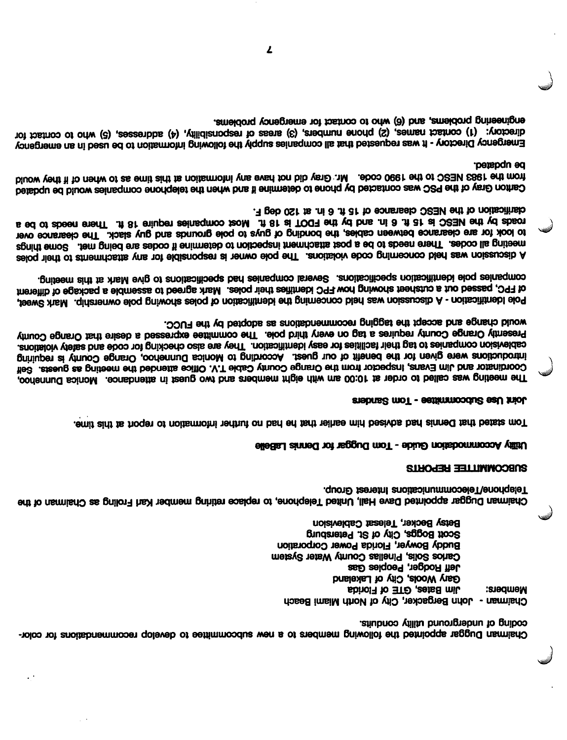color- for recommendations develop to subcommittee new a to memt)ers following the appointed Duggar Chairman coquite of nugliation anility conduits.

Chaimman - John Bergacker, City of North Miami Beach  $F$  appropers:  $F$  of  $E$  of  $E$  of  $E$  of  $E$  or  $E$  or  $E$  or  $E$  or  $E$  or  $E$  or  $E$  or  $E$  or  $E$  or  $E$  or  $E$  or  $E$  or  $E$  or  $E$  or  $E$  or  $E$  or  $E$  or  $E$  or  $E$  or  $E$  or  $E$  or  $E$  or  $E$  or  $E$  or  $E$  or  $E$ Gary Wools, City of Lakeland Jeff Rodger, Peoples Gas Carlos Solis, Pinellas County Water System Buddy Bowyer, Florida Power Corporation Peters Eoggs, City of St. Petersburg Betsy Becker, Telesat Cablevision

chairman Duggar as graion as each member retiring and the chairman member karl Froling as Chairman of the Telephone/Telecommunications Interest Group.

## REPORTS SUBCOMMTTTEE

## Lasser Woodanische Prinse - Tom Duggar Tom Dennis LaBelle

form this at the total to incidence the the term of the term is an information of the term is that the term is

## Stabrus Communities of Induced

The meeting was called or the 10:00 am with eight members and two guest in attendance. Monica Dunnehoo, HeG atteng as gniteem ent bebnetts eoifiO .V.T ekdsO ytruoO egnsrO ent mont rotoeqan! ansvEl mil. bns rotsnibnooO introductions were given for the benefit of our guest. According to Monica Dunnehoo, Orange County is requiring variations and checking and checking are for checkiou. They are also checking for code and seins and stories and violation Princo agristo that entered a county county of the committee expressed a certain enterpressed that or third every FUCC. the base of a stretched as a recommendations as a record pluow.

Pole l dentification - A discussion was held concerning the identification of poles showing pole ownership. Mark Sweet, of FPC, passed out a cutsheet showing how FPC identifies their poles. Mark agreed to assemble a package of different companies pole into this methor is consequed companies bed specifications to give Mark at this meeting.

poles the measure of the responsible is any form of the violations is responsible for any attachments of any responsible ephing are codes. Then end are codes in the metabology are codes in post a being metabology and the post a per to look tor are clearance between cables, the bonding of guys to pole grounds and guy slack. The clearance over a ed of abeen enerth intial enjoyer about the angle is a TOOF edt yd bns in. 8 in. 8 ft at OSBM edt yd abson F. deb 021 is .ni 8 .ft 31 to eonsheeb OSBM ent to noitsoilingb

Carkon Gray of the PSC was contacted by phone to determine it end when the telephone companies would be updated from the 1983 NESC to the 1990 code. Mr. Gray chip they have any intermediate notation as to when of it they would peted.

Emergency Directory - It was requested that all companies supply the following information to be used in an emergency first to who contact to who contact (3) and contact (3) areas of responsibility, (4) addresses, (5) who to contact for emgineems. For the who to contact to problems and problems,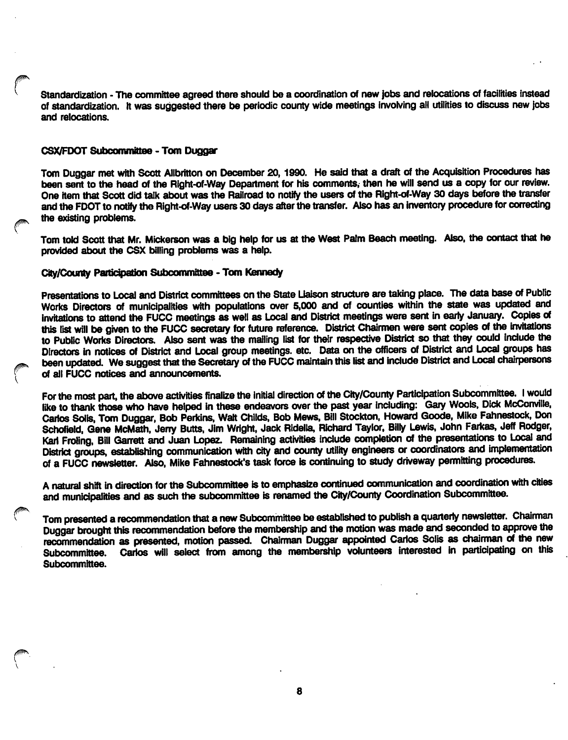Standardization - The committee agreed there should be a coordination of new jobs and relocations of facilities instead of standardization. It was suggested there be periodic county wide meetings involving all utilities to discuss new jobs and relocations.

## CSX/FDOT Subcommittee - Tom Duggar

Tom Duggar met with Scott Allbritton on December 20,1990. He said that a draft of the Acquisition Procedures has been sent to the head of the Right-of-Way Department for his comments, then he will send us a copy for our review. One item that Scott did talk about was the Railroad to notify the users of the Right-of-Way 30 days before the transfer and the FDOT to notify the Right-of-Way users 30 days after the transfer. Also has an Inventory procedure for correcting the existing problems.

Tom told Scott that Mr. Mickerson was a big help for us at the West Palm Beach meeting. Also, the contact that he provided about the CSX billing problems was a help.

#### City/County Participation Subcommittee - Tom Kennedy

Presentations to Local and District committees on the State Liaison structure are taking place. The data base of Public Works Directors of municipalities with populations over 5,000 and of counties within the state was updated and invitations to attend the FUCC meetings as well as Local and District meetings were sent in early January. Copies of this list will be given to the FUCC secretary for future reference. District Chairmen were sent copies of the invitations to Public Works Directors. Also sent was the mailing list for their respective District so that they could include the Directors in notices of District and Local group meetings, etc. Data on the officers of District and Local groups has been updated. We suggest that the Secretary of the FUCC maintain this list and include District and Local chairpersons of all FUCC notices and armouncements.

For the most part, the above activities finalize the initial direction of the City/County Participation Subcommittee. I would like to thank those who have helped in these endeavors over the past year including: Gary Wools, Dick McConville, Carlos Soils, Tom Duggar, Bob Perkins, Walt Childs, Bob Mews, Bill Stockton, Howard Goods, Mike Fahnestock, Don Schofield, Gene McMath, Jerry Butts, Jim Wright, Jack RIdelia, Richard Taylor. Billy Lewis, John Farkas, Jeff Rodger, Karl Froling, Bill Garrett and Juan Lopez. Remaining activities include completion of the presentations to Local and District groups, establishing communication with city and county utility engineers or coordinators and implementation of a FUCC newsletter. Also, Mike Fahnestock's task force is continuing to study driveway permitting procedures.

A natural shift in direction for the Subcommittee is to emphasize continued communication and coordination with cities and municipalities and as such the subcommittee is renamed the City/County Coordination Subcommittee.

Tom presented a recommendation that a new Subcommittee be established to publish a quarterly newsletter. Chairman Duggar brought this recommendation before the membership and the motion was made and seconded to approve the recommendation as presented, motion passed. Chairman Duggar appointed Carlos Solis as chairman of the new<br>Subcommittee. Carlos will select from among the membership volunteers interested in participating on this Carlos will select from among the membership volunteers interested in participating on this Subcommittee.